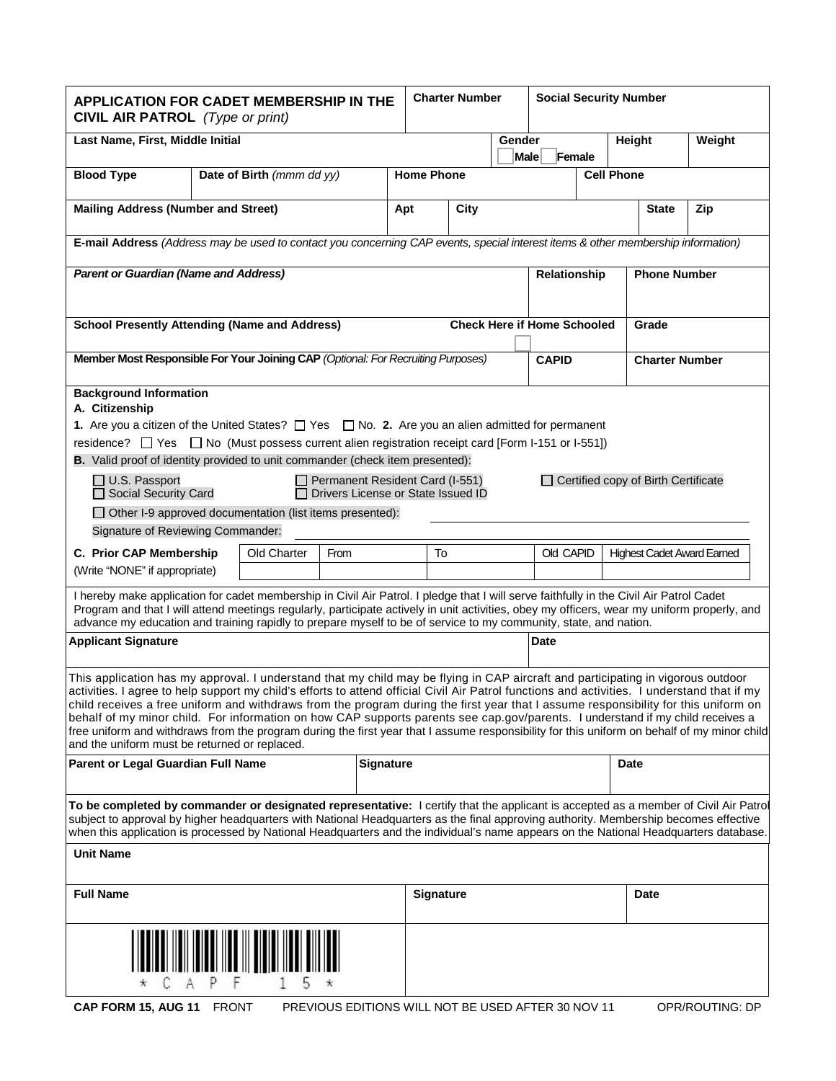| <b>APPLICATION FOR CADET MEMBERSHIP IN THE</b><br><b>CIVIL AIR PATROL</b> (Type or print)                                                                                                                                                                                                                                                                                                                                                                                                                                                                                                                                                                                                                                                                 |                                                                                                        |                           |                                                    |  | <b>Charter Number</b> |                       |                  | <b>Social Security Number</b>               |                     |        |              |                 |
|-----------------------------------------------------------------------------------------------------------------------------------------------------------------------------------------------------------------------------------------------------------------------------------------------------------------------------------------------------------------------------------------------------------------------------------------------------------------------------------------------------------------------------------------------------------------------------------------------------------------------------------------------------------------------------------------------------------------------------------------------------------|--------------------------------------------------------------------------------------------------------|---------------------------|----------------------------------------------------|--|-----------------------|-----------------------|------------------|---------------------------------------------|---------------------|--------|--------------|-----------------|
| Last Name, First, Middle Initial                                                                                                                                                                                                                                                                                                                                                                                                                                                                                                                                                                                                                                                                                                                          |                                                                                                        |                           |                                                    |  |                       | Gender<br><b>Male</b> | Height<br>Female |                                             |                     | Weight |              |                 |
| <b>Blood Type</b>                                                                                                                                                                                                                                                                                                                                                                                                                                                                                                                                                                                                                                                                                                                                         |                                                                                                        | Date of Birth (mmm dd yy) |                                                    |  | <b>Home Phone</b>     |                       |                  |                                             | <b>Cell Phone</b>   |        |              |                 |
| <b>Mailing Address (Number and Street)</b>                                                                                                                                                                                                                                                                                                                                                                                                                                                                                                                                                                                                                                                                                                                |                                                                                                        |                           |                                                    |  | Apt                   | City                  |                  |                                             |                     |        | <b>State</b> | Zip             |
| E-mail Address (Address may be used to contact you concerning CAP events, special interest items & other membership information)                                                                                                                                                                                                                                                                                                                                                                                                                                                                                                                                                                                                                          |                                                                                                        |                           |                                                    |  |                       |                       |                  |                                             |                     |        |              |                 |
| <b>Parent or Guardian (Name and Address)</b>                                                                                                                                                                                                                                                                                                                                                                                                                                                                                                                                                                                                                                                                                                              |                                                                                                        |                           |                                                    |  | Relationship          |                       |                  |                                             | <b>Phone Number</b> |        |              |                 |
| <b>School Presently Attending (Name and Address)</b>                                                                                                                                                                                                                                                                                                                                                                                                                                                                                                                                                                                                                                                                                                      |                                                                                                        |                           |                                                    |  |                       |                       |                  | <b>Check Here if Home Schooled</b><br>Grade |                     |        |              |                 |
| Member Most Responsible For Your Joining CAP (Optional: For Recruiting Purposes)                                                                                                                                                                                                                                                                                                                                                                                                                                                                                                                                                                                                                                                                          |                                                                                                        |                           |                                                    |  |                       | <b>CAPID</b>          |                  | <b>Charter Number</b>                       |                     |        |              |                 |
| A. Citizenship                                                                                                                                                                                                                                                                                                                                                                                                                                                                                                                                                                                                                                                                                                                                            | <b>Background Information</b>                                                                          |                           |                                                    |  |                       |                       |                  |                                             |                     |        |              |                 |
| <b>1.</b> Are you a citizen of the United States? $\Box$ Yes $\Box$ No. <b>2.</b> Are you an alien admitted for permanent<br>residence? $\Box$ Yes $\Box$ No (Must possess current alien registration receipt card [Form I-151 or I-551])<br>B. Valid proof of identity provided to unit commander (check item presented):                                                                                                                                                                                                                                                                                                                                                                                                                                |                                                                                                        |                           |                                                    |  |                       |                       |                  |                                             |                     |        |              |                 |
| Permanent Resident Card (I-551)<br>$\Box$ U.S. Passport<br>Certified copy of Birth Certificate<br>Drivers License or State Issued ID<br><b>Social Security Card</b>                                                                                                                                                                                                                                                                                                                                                                                                                                                                                                                                                                                       |                                                                                                        |                           |                                                    |  |                       |                       |                  |                                             |                     |        |              |                 |
| $\Box$ Other I-9 approved documentation (list items presented):<br>Signature of Reviewing Commander:                                                                                                                                                                                                                                                                                                                                                                                                                                                                                                                                                                                                                                                      |                                                                                                        |                           |                                                    |  |                       |                       |                  |                                             |                     |        |              |                 |
|                                                                                                                                                                                                                                                                                                                                                                                                                                                                                                                                                                                                                                                                                                                                                           |                                                                                                        |                           |                                                    |  |                       |                       |                  |                                             |                     |        |              |                 |
| (Write "NONE" if appropriate)                                                                                                                                                                                                                                                                                                                                                                                                                                                                                                                                                                                                                                                                                                                             | C. Prior CAP Membership<br>Old Charter<br>To<br>Old CAPID<br><b>Highest Cadet Award Earned</b><br>From |                           |                                                    |  |                       |                       |                  |                                             |                     |        |              |                 |
| I hereby make application for cadet membership in Civil Air Patrol. I pledge that I will serve faithfully in the Civil Air Patrol Cadet<br>Program and that I will attend meetings regularly, participate actively in unit activities, obey my officers, wear my uniform properly, and<br>advance my education and training rapidly to prepare myself to be of service to my community, state, and nation.                                                                                                                                                                                                                                                                                                                                                |                                                                                                        |                           |                                                    |  |                       |                       |                  |                                             |                     |        |              |                 |
| <b>Applicant Signature</b><br>Date                                                                                                                                                                                                                                                                                                                                                                                                                                                                                                                                                                                                                                                                                                                        |                                                                                                        |                           |                                                    |  |                       |                       |                  |                                             |                     |        |              |                 |
| This application has my approval. I understand that my child may be flying in CAP aircraft and participating in vigorous outdoor<br>activities. I agree to help support my child's efforts to attend official Civil Air Patrol functions and activities. I understand that if my<br>child receives a free uniform and withdraws from the program during the first year that I assume responsibility for this uniform on<br>behalf of my minor child. For information on how CAP supports parents see cap.gov/parents. I understand if my child receives a<br>free uniform and withdraws from the program during the first year that I assume responsibility for this uniform on behalf of my minor child<br>and the uniform must be returned or replaced. |                                                                                                        |                           |                                                    |  |                       |                       |                  |                                             |                     |        |              |                 |
| <b>Parent or Legal Guardian Full Name</b>                                                                                                                                                                                                                                                                                                                                                                                                                                                                                                                                                                                                                                                                                                                 |                                                                                                        |                           | <b>Signature</b>                                   |  |                       |                       |                  | <b>Date</b>                                 |                     |        |              |                 |
| To be completed by commander or designated representative: I certify that the applicant is accepted as a member of Civil Air Patrol<br>subject to approval by higher headquarters with National Headquarters as the final approving authority. Membership becomes effective<br>when this application is processed by National Headquarters and the individual's name appears on the National Headquarters database.                                                                                                                                                                                                                                                                                                                                       |                                                                                                        |                           |                                                    |  |                       |                       |                  |                                             |                     |        |              |                 |
| <b>Unit Name</b>                                                                                                                                                                                                                                                                                                                                                                                                                                                                                                                                                                                                                                                                                                                                          |                                                                                                        |                           |                                                    |  |                       |                       |                  |                                             |                     |        |              |                 |
| <b>Full Name</b>                                                                                                                                                                                                                                                                                                                                                                                                                                                                                                                                                                                                                                                                                                                                          |                                                                                                        |                           |                                                    |  | <b>Signature</b>      |                       |                  |                                             |                     |        | <b>Date</b>  |                 |
| 5                                                                                                                                                                                                                                                                                                                                                                                                                                                                                                                                                                                                                                                                                                                                                         |                                                                                                        |                           |                                                    |  |                       |                       |                  |                                             |                     |        |              |                 |
| CAP FORM 15, AUG 11 FRONT                                                                                                                                                                                                                                                                                                                                                                                                                                                                                                                                                                                                                                                                                                                                 |                                                                                                        |                           | PREVIOUS EDITIONS WILL NOT BE USED AFTER 30 NOV 11 |  |                       |                       |                  |                                             |                     |        |              | OPR/ROUTING: DP |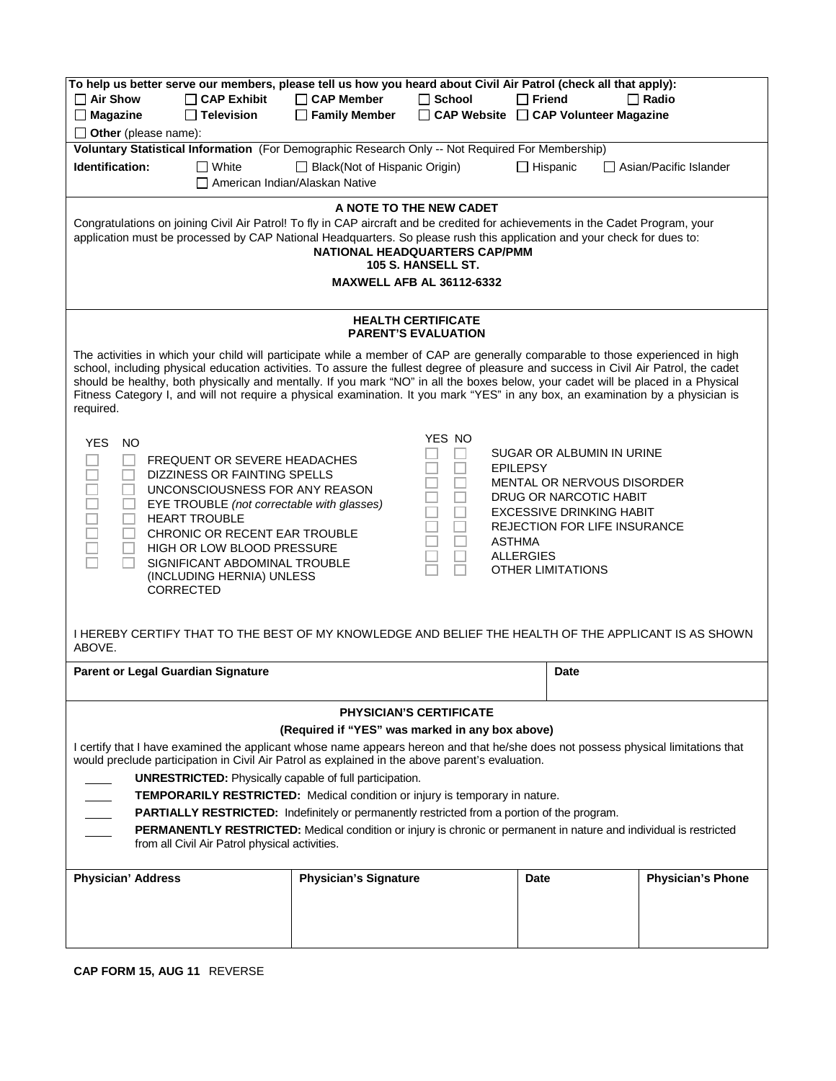| To help us better serve our members, please tell us how you heard about Civil Air Patrol (check all that apply):<br>$\Box$ Air Show<br>$\Box$ CAP Exhibit                                                                                                                                                                                                                                                                                                                                                                                                    | $\Box$ CAP Member                               | $\Box$ School                  | $\Box$ Friend                                      | $\Box$ Radio                  |  |  |  |  |
|--------------------------------------------------------------------------------------------------------------------------------------------------------------------------------------------------------------------------------------------------------------------------------------------------------------------------------------------------------------------------------------------------------------------------------------------------------------------------------------------------------------------------------------------------------------|-------------------------------------------------|--------------------------------|----------------------------------------------------|-------------------------------|--|--|--|--|
| $\square$ Magazine<br>$\Box$ Television                                                                                                                                                                                                                                                                                                                                                                                                                                                                                                                      | $\Box$ Family Member                            |                                | □ CAP Website □ CAP Volunteer Magazine             |                               |  |  |  |  |
| $\Box$ Other (please name):                                                                                                                                                                                                                                                                                                                                                                                                                                                                                                                                  |                                                 |                                |                                                    |                               |  |  |  |  |
| Voluntary Statistical Information (For Demographic Research Only -- Not Required For Membership)                                                                                                                                                                                                                                                                                                                                                                                                                                                             |                                                 |                                |                                                    |                               |  |  |  |  |
| Identification:<br>$\Box$ White                                                                                                                                                                                                                                                                                                                                                                                                                                                                                                                              | □ Black(Not of Hispanic Origin)                 |                                | $\Box$ Hispanic                                    | $\Box$ Asian/Pacific Islander |  |  |  |  |
|                                                                                                                                                                                                                                                                                                                                                                                                                                                                                                                                                              | American Indian/Alaskan Native                  |                                |                                                    |                               |  |  |  |  |
| A NOTE TO THE NEW CADET                                                                                                                                                                                                                                                                                                                                                                                                                                                                                                                                      |                                                 |                                |                                                    |                               |  |  |  |  |
| Congratulations on joining Civil Air Patrol! To fly in CAP aircraft and be credited for achievements in the Cadet Program, your<br>application must be processed by CAP National Headquarters. So please rush this application and your check for dues to:<br>NATIONAL HEADQUARTERS CAP/PMM<br>105 S. HANSELL ST.                                                                                                                                                                                                                                            |                                                 |                                |                                                    |                               |  |  |  |  |
| <b>MAXWELL AFB AL 36112-6332</b>                                                                                                                                                                                                                                                                                                                                                                                                                                                                                                                             |                                                 |                                |                                                    |                               |  |  |  |  |
| <b>HEALTH CERTIFICATE</b><br><b>PARENT'S EVALUATION</b>                                                                                                                                                                                                                                                                                                                                                                                                                                                                                                      |                                                 |                                |                                                    |                               |  |  |  |  |
| The activities in which your child will participate while a member of CAP are generally comparable to those experienced in high<br>school, including physical education activities. To assure the fullest degree of pleasure and success in Civil Air Patrol, the cadet<br>should be healthy, both physically and mentally. If you mark "NO" in all the boxes below, your cadet will be placed in a Physical<br>Fitness Category I, and will not require a physical examination. It you mark "YES" in any box, an examination by a physician is<br>required. |                                                 |                                |                                                    |                               |  |  |  |  |
| <b>YES</b><br><b>NO</b>                                                                                                                                                                                                                                                                                                                                                                                                                                                                                                                                      |                                                 | YES NO                         |                                                    |                               |  |  |  |  |
| <b>FREQUENT OR SEVERE HEADACHES</b>                                                                                                                                                                                                                                                                                                                                                                                                                                                                                                                          |                                                 |                                | SUGAR OR ALBUMIN IN URINE                          |                               |  |  |  |  |
| DIZZINESS OR FAINTING SPELLS                                                                                                                                                                                                                                                                                                                                                                                                                                                                                                                                 |                                                 |                                | <b>EPILEPSY</b>                                    |                               |  |  |  |  |
| UNCONSCIOUSNESS FOR ANY REASON                                                                                                                                                                                                                                                                                                                                                                                                                                                                                                                               |                                                 |                                | MENTAL OR NERVOUS DISORDER                         |                               |  |  |  |  |
| 2000a<br>EYE TROUBLE (not correctable with glasses)                                                                                                                                                                                                                                                                                                                                                                                                                                                                                                          |                                                 |                                | DRUG OR NARCOTIC HABIT<br>EXCESSIVE DRINKING HABIT |                               |  |  |  |  |
| <b>HEART TROUBLE</b>                                                                                                                                                                                                                                                                                                                                                                                                                                                                                                                                         |                                                 |                                | <b>REJECTION FOR LIFE INSURANCE</b>                |                               |  |  |  |  |
| CHRONIC OR RECENT EAR TROUBLE                                                                                                                                                                                                                                                                                                                                                                                                                                                                                                                                |                                                 | <b>ASTHMA</b>                  |                                                    |                               |  |  |  |  |
| HIGH OR LOW BLOOD PRESSURE                                                                                                                                                                                                                                                                                                                                                                                                                                                                                                                                   |                                                 |                                | <b>ALLERGIES</b>                                   |                               |  |  |  |  |
| SIGNIFICANT ABDOMINAL TROUBLE<br><b>OTHER LIMITATIONS</b><br>(INCLUDING HERNIA) UNLESS<br>CORRECTED                                                                                                                                                                                                                                                                                                                                                                                                                                                          |                                                 |                                |                                                    |                               |  |  |  |  |
|                                                                                                                                                                                                                                                                                                                                                                                                                                                                                                                                                              |                                                 |                                |                                                    |                               |  |  |  |  |
| I HEREBY CERTIFY THAT TO THE BEST OF MY KNOWLEDGE AND BELIEF THE HEALTH OF THE APPLICANT IS AS SHOWN<br>ABOVE.                                                                                                                                                                                                                                                                                                                                                                                                                                               |                                                 |                                |                                                    |                               |  |  |  |  |
| Parent or Legal Guardian Signature                                                                                                                                                                                                                                                                                                                                                                                                                                                                                                                           |                                                 |                                | Date                                               |                               |  |  |  |  |
|                                                                                                                                                                                                                                                                                                                                                                                                                                                                                                                                                              |                                                 |                                |                                                    |                               |  |  |  |  |
|                                                                                                                                                                                                                                                                                                                                                                                                                                                                                                                                                              |                                                 | <b>PHYSICIAN'S CERTIFICATE</b> |                                                    |                               |  |  |  |  |
|                                                                                                                                                                                                                                                                                                                                                                                                                                                                                                                                                              | (Required if "YES" was marked in any box above) |                                |                                                    |                               |  |  |  |  |
| I certify that I have examined the applicant whose name appears hereon and that he/she does not possess physical limitations that                                                                                                                                                                                                                                                                                                                                                                                                                            |                                                 |                                |                                                    |                               |  |  |  |  |
| would preclude participation in Civil Air Patrol as explained in the above parent's evaluation.                                                                                                                                                                                                                                                                                                                                                                                                                                                              |                                                 |                                |                                                    |                               |  |  |  |  |
| <b>UNRESTRICTED:</b> Physically capable of full participation.                                                                                                                                                                                                                                                                                                                                                                                                                                                                                               |                                                 |                                |                                                    |                               |  |  |  |  |
| <b>TEMPORARILY RESTRICTED:</b> Medical condition or injury is temporary in nature.                                                                                                                                                                                                                                                                                                                                                                                                                                                                           |                                                 |                                |                                                    |                               |  |  |  |  |
| PARTIALLY RESTRICTED: Indefinitely or permanently restricted from a portion of the program.                                                                                                                                                                                                                                                                                                                                                                                                                                                                  |                                                 |                                |                                                    |                               |  |  |  |  |
| <b>PERMANENTLY RESTRICTED:</b> Medical condition or injury is chronic or permanent in nature and individual is restricted<br>from all Civil Air Patrol physical activities.                                                                                                                                                                                                                                                                                                                                                                                  |                                                 |                                |                                                    |                               |  |  |  |  |
| <b>Physician' Address</b>                                                                                                                                                                                                                                                                                                                                                                                                                                                                                                                                    | <b>Physician's Signature</b>                    |                                | Date                                               | <b>Physician's Phone</b>      |  |  |  |  |
|                                                                                                                                                                                                                                                                                                                                                                                                                                                                                                                                                              |                                                 |                                |                                                    |                               |  |  |  |  |
|                                                                                                                                                                                                                                                                                                                                                                                                                                                                                                                                                              |                                                 |                                |                                                    |                               |  |  |  |  |
|                                                                                                                                                                                                                                                                                                                                                                                                                                                                                                                                                              |                                                 |                                |                                                    |                               |  |  |  |  |

**CAP FORM 15, AUG 11** REVERSE